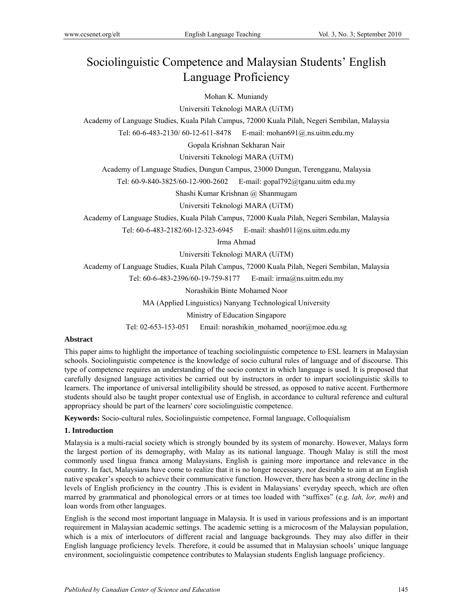# Sociolinguistic Competence and Malaysian Students' English Language Proficiency

# Mohan K. Muniandy

Universiti Teknologi MARA (UiTM)

Academy of Language Studies, Kuala Pilah Campus, 72000 Kuala Pilah, Negeri Sembilan, Malaysia

Tel: 60-6-483-2130/ 60-12-611-8478 E-mail: mohan691@.ns.uitm.edu.my

Gopala Krishnan Sekharan Nair

Universiti Teknologi MARA (UiTM)

Academy of Language Studies, Dungun Campus, 23000 Dungun, Terengganu, Malaysia

Tel: 60-9-840-3825/60-12-900-2602 E-mail: gopal792@tganu.uitm edu.my

Shashi Kumar Krishnan @ Shanmugam

Universiti Teknologi MARA (UiTM)

Academy of Language Studies, Kuala Pilah Campus, 72000 Kuala Pilah, Negeri Sembilan, Malaysia

Tel: 60-6-483-2182/60-12-323-6945 E-mail: shash011@ns.uitm.edu.my

Irma Ahmad

Universiti Teknologi MARA (UiTM)

Academy of Language Studies, Kuala Pilah Campus, 72000 Kuala Pilah, Negeri Sembilan, Malaysia

Tel: 60-6-483-2396/60-19-759-8177 E-mail: irma@ns.uitm.edu.my

Norashikin Binte Mohamed Noor

MA (Applied Linguistics) Nanyang Technological University

Ministry of Education Singapore

Tel: 02-653-153-051 Email: norashikin\_mohamed\_noor@moe.edu.sg

## **Abstract**

This paper aims to highlight the importance of teaching sociolinguistic competence to ESL learners in Malaysian schools. Sociolinguistic competence is the knowledge of socio cultural rules of language and of discourse. This type of competence requires an understanding of the socio context in which language is used. It is proposed that carefully designed language activities be carried out by instructors in order to impart sociolinguistic skills to learners. The importance of universal intelligibility should be stressed, as opposed to native accent. Furthermore students should also be taught proper contextual use of English, in accordance to cultural reference and cultural appropriacy should be part of the learners' core sociolinguistic competence.

**Keywords:** Socio-cultural rules, Sociolinguistic competence, Formal language, Colloquialism

## **1. Introduction**

Malaysia is a multi-racial society which is strongly bounded by its system of monarchy. However, Malays form the largest portion of its demography, with Malay as its national language. Though Malay is still the most commonly used lingua franca among Malaysians, English is gaining more importance and relevance in the country. In fact, Malaysians have come to realize that it is no longer necessary, nor desirable to aim at an English native speaker's speech to achieve their communicative function. However, there has been a strong decline in the levels of English proficiency in the country .This is evident in Malaysians' everyday speech, which are often marred by grammatical and phonological errors or at times too loaded with "suffixes" (e.g. *lah, lor, meh*) and loan words from other languages.

English is the second most important language in Malaysia. It is used in various professions and is an important requirement in Malaysian academic settings. The academic setting is a microcosm of the Malaysian population, which is a mix of interlocutors of different racial and language backgrounds. They may also differ in their English language proficiency levels. Therefore, it could be assumed that in Malaysian schools' unique language environment, sociolinguistic competence contributes to Malaysian students English language proficiency.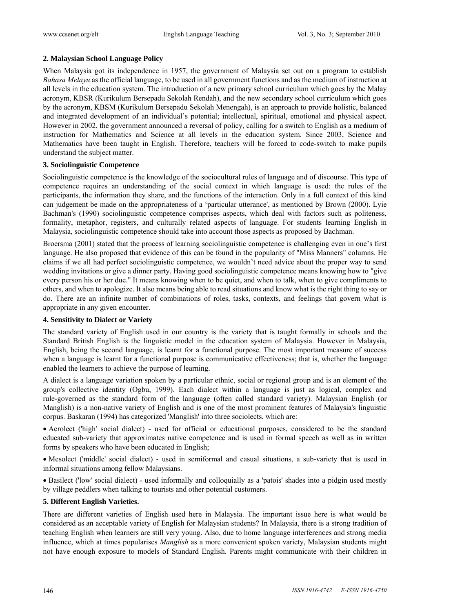## **2. Malaysian School Language Policy**

When Malaysia got its independence in 1957, the government of Malaysia set out on a program to establish *Bahasa Melayu* as the official language, to be used in all government functions and as the medium of instruction at all levels in the education system. The introduction of a new primary school curriculum which goes by the Malay acronym, KBSR (Kurikulum Bersepadu Sekolah Rendah), and the new secondary school curriculum which goes by the acronym, KBSM (Kurikulum Bersepadu Sekolah Menengah), is an approach to provide holistic, balanced and integrated development of an individual's potential; intellectual, spiritual, emotional and physical aspect. However in 2002, the government announced a reversal of policy, calling for a switch to English as a medium of instruction for Mathematics and Science at all levels in the education system. Since 2003, Science and Mathematics have been taught in English. Therefore, teachers will be forced to code-switch to make pupils understand the subject matter.

## **3. Sociolinguistic Competence**

Sociolinguistic competence is the knowledge of the sociocultural rules of language and of discourse. This type of competence requires an understanding of the social context in which language is used: the rules of the participants, the information they share, and the functions of the interaction. Only in a full context of this kind can judgement be made on the appropriateness of a 'particular utterance', as mentioned by Brown (2000). Lyie Bachman's (1990) sociolinguistic competence comprises aspects, which deal with factors such as politeness, formality, metaphor, registers, and culturally related aspects of language. For students learning English in Malaysia, sociolinguistic competence should take into account those aspects as proposed by Bachman.

Broersma (2001) stated that the process of learning sociolinguistic competence is challenging even in one's first language. He also proposed that evidence of this can be found in the popularity of "Miss Manners" columns. He claims if we all had perfect sociolinguistic competence, we wouldn't need advice about the proper way to send wedding invitations or give a dinner party. Having good sociolinguistic competence means knowing how to "give every person his or her due." It means knowing when to be quiet, and when to talk, when to give compliments to others, and when to apologize. It also means being able to read situations and know what is the right thing to say or do. There are an infinite number of combinations of roles, tasks, contexts, and feelings that govern what is appropriate in any given encounter.

## **4. Sensitivity to Dialect or Variety**

The standard variety of English used in our country is the variety that is taught formally in schools and the Standard British English is the linguistic model in the education system of Malaysia. However in Malaysia, English, being the second language, is learnt for a functional purpose. The most important measure of success when a language is learnt for a functional purpose is communicative effectiveness; that is, whether the language enabled the learners to achieve the purpose of learning.

A dialect is a language variation spoken by a particular ethnic, social or regional group and is an element of the group's collective identity (Ogbu, 1999). Each dialect within a language is just as logical, complex and rule-governed as the standard form of the language (often called standard variety). Malaysian English (or Manglish) is a non-native variety of English and is one of the most prominent features of Malaysia's linguistic corpus. Baskaran (1994) has categorized 'Manglish' into three sociolects, which are:

• Acrolect ('high' social dialect) - used for official or educational purposes, considered to be the standard educated sub-variety that approximates native competence and is used in formal speech as well as in written forms by speakers who have been educated in English;

• Mesolect ('middle' social dialect) - used in semiformal and casual situations, a sub-variety that is used in informal situations among fellow Malaysians.

• Basilect ('low' social dialect) - used informally and colloquially as a 'patois' shades into a pidgin used mostly by village peddlers when talking to tourists and other potential customers.

# **5. Different English Varieties.**

There are different varieties of English used here in Malaysia. The important issue here is what would be considered as an acceptable variety of English for Malaysian students? In Malaysia, there is a strong tradition of teaching English when learners are still very young. Also, due to home language interferences and strong media influence, which at times popularises *Manglish* as a more convenient spoken variety, Malaysian students might not have enough exposure to models of Standard English. Parents might communicate with their children in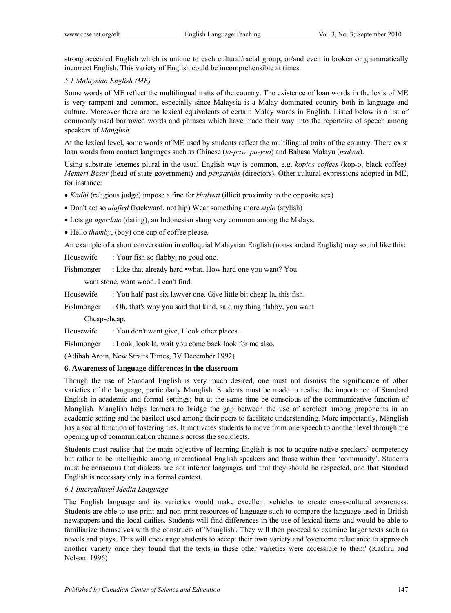strong accented English which is unique to each cultural/racial group, or/and even in broken or grammatically incorrect English. This variety of English could be incomprehensible at times.

*5.1 Malaysian English (ME)* 

Some words of ME reflect the multilingual traits of the country. The existence of loan words in the lexis of ME is very rampant and common, especially since Malaysia is a Malay dominated country both in language and culture. Moreover there are no lexical equivalents of certain Malay words in English. Listed below is a list of commonly used borrowed words and phrases which have made their way into the repertoire of speech among speakers of *Manglish*.

At the lexical level, some words of ME used by students reflect the multilingual traits of the country. There exist loan words from contact languages such as Chinese (*ta-paw, pu-yao*) and Bahasa Malayu (*makan*).

Using substrate lexemes plural in the usual English way is common, e.g. *kopios coffees* (kop-o, black coffee*), Menteri Besar* (head of state government) and *pengarahs* (directors). Other cultural expressions adopted in ME, for instance:

- *Kadhi* (religious judge) impose a fine for *khalwat* (illicit proximity to the opposite sex)
- Don't act so *ulufied* (backward, not hip) Wear something more *stylo* (stylish)
- Lets go *ngerdate* (dating), an Indonesian slang very common among the Malays.
- Hello *thamby*, (boy) one cup of coffee please.

An example of a short conversation in colloquial Malaysian English (non-standard English) may sound like this:

Housewife : Your fish so flabby, no good one.

Fishmonger : Like that already hard •what. How hard one you want? You

want stone, want wood. I can't find.

Housewife : You half-past six lawyer one. Give little bit cheap la, this fish.

Fishmonger : Oh, that's why you said that kind, said my thing flabby, you want

Cheap-cheap.

- Housewife : You don't want give, I look other places.
- Fishmonger : Look, look la, wait you come back look for me also.
- (Adibah Aroin, New Straits Times, 3V December 1992)

## **6. Awareness of language differences in the classroom**

Though the use of Standard English is very much desired, one must not dismiss the significance of other varieties of the language, particularly Manglish. Students must be made to realise the importance of Standard English in academic and formal settings; but at the same time be conscious of the communicative function of Manglish. Manglish helps learners to bridge the gap between the use of acrolect among proponents in an academic setting and the basilect used among their peers to facilitate understanding. More importantly, Manglish has a social function of fostering ties. It motivates students to move from one speech to another level through the opening up of communication channels across the sociolects.

Students must realise that the main objective of learning English is not to acquire native speakers' competency but rather to be intelligible among international English speakers and those within their 'community'. Students must be conscious that dialects are not inferior languages and that they should be respected, and that Standard English is necessary only in a formal context.

## *6.1 Intercultural Media Language*

The English language and its varieties would make excellent vehicles to create cross-cultural awareness. Students are able to use print and non-print resources of language such to compare the language used in British newspapers and the local dailies. Students will find differences in the use of lexical items and would be able to familiarize themselves with the constructs of 'Manglish'. They will then proceed to examine larger texts such as novels and plays. This will encourage students to accept their own variety and 'overcome reluctance to approach another variety once they found that the texts in these other varieties were accessible to them' (Kachru and Nelson: 1996)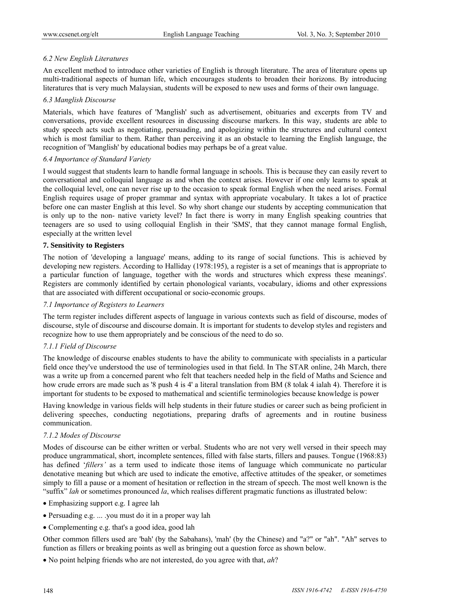## *6.2 New English Literatures*

An excellent method to introduce other varieties of English is through literature. The area of literature opens up multi-traditional aspects of human life, which encourages students to broaden their horizons. By introducing literatures that is very much Malaysian, students will be exposed to new uses and forms of their own language.

## *6.3 Manglish Discourse*

Materials, which have features of 'Manglish' such as advertisement, obituaries and excerpts from TV and conversations, provide excellent resources in discussing discourse markers. In this way, students are able to study speech acts such as negotiating, persuading, and apologizing within the structures and cultural context which is most familiar to them. Rather than perceiving it as an obstacle to learning the English language, the recognition of 'Manglish' by educational bodies may perhaps be of a great value.

## *6.4 Importance of Standard Variety*

I would suggest that students learn to handle formal language in schools. This is because they can easily revert to conversational and colloquial language as and when the context arises. However if one only learns to speak at the colloquial level, one can never rise up to the occasion to speak formal English when the need arises. Formal English requires usage of proper grammar and syntax with appropriate vocabulary. It takes a lot of practice before one can master English at this level. So why short change our students by accepting communication that is only up to the non- native variety level? In fact there is worry in many English speaking countries that teenagers are so used to using colloquial English in their 'SMS', that they cannot manage formal English, especially at the written level

# **7. Sensitivity to Registers**

The notion of 'developing a language' means, adding to its range of social functions. This is achieved by developing new registers. According to Halliday (1978:195), a register is a set of meanings that is appropriate to a particular function of language, together with the words and structures which express these meanings'. Registers are commonly identified by certain phonological variants, vocabulary, idioms and other expressions that are associated with different occupational or socio-economic groups.

## *7.1 Importance of Registers to Learners*

The term register includes different aspects of language in various contexts such as field of discourse, modes of discourse, style of discourse and discourse domain. It is important for students to develop styles and registers and recognize how to use them appropriately and be conscious of the need to do so.

# *7.1.1 Field of Discourse*

The knowledge of discourse enables students to have the ability to communicate with specialists in a particular field once they've understood the use of terminologies used in that field. In The STAR online, 24h March, there was a write up from a concerned parent who felt that teachers needed help in the field of Maths and Science and how crude errors are made such as '8 push 4 is 4' a literal translation from BM (8 tolak 4 ialah 4). Therefore it is important for students to be exposed to mathematical and scientific terminologies because knowledge is power

Having knowledge in various fields will help students in their future studies or career such as being proficient in delivering speeches, conducting negotiations, preparing drafts of agreements and in routine business communication.

# *7.1.2 Modes of Discourse*

Modes of discourse can be either written or verbal. Students who are not very well versed in their speech may produce ungrammatical, short, incomplete sentences, filled with false starts, fillers and pauses. Tongue (1968:83) has defined '*fillers'* as a term used to indicate those items of language which communicate no particular denotative meaning but which are used to indicate the emotive, affective attitudes of the speaker, or sometimes simply to fill a pause or a moment of hesitation or reflection in the stream of speech. The most well known is the "suffix" *lah* or sometimes pronounced *la*, which realises different pragmatic functions as illustrated below:

- Emphasizing support e.g. I agree lah
- Persuading e.g. ... .you must do it in a proper way lah
- Complementing e.g. that's a good idea, good lah

Other common fillers used are 'bah' (by the Sabahans), 'mah' (by the Chinese) and "a?" or "ah". "Ah" serves to function as fillers or breaking points as well as bringing out a question force as shown below.

• No point helping friends who are not interested, do you agree with that, *ah*?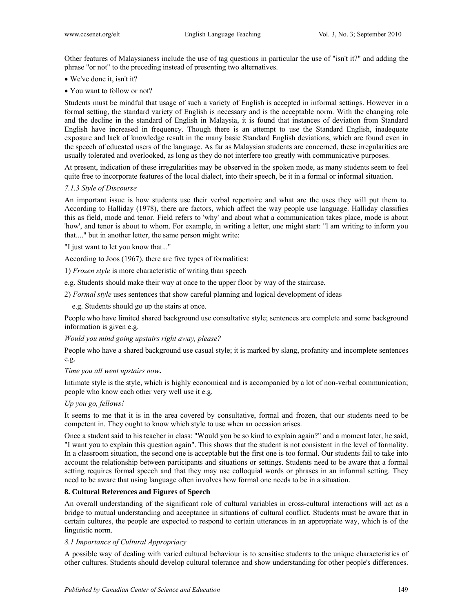Other features of Malaysianess include the use of tag questions in particular the use of "isn't it?" and adding the phrase "or not" to the preceding instead of presenting two alternatives.

- We've done it, isn't it?
- You want to follow or not?

Students must be mindful that usage of such a variety of English is accepted in informal settings. However in a formal setting, the standard variety of English is necessary and is the acceptable norm. With the changing role and the decline in the standard of English in Malaysia, it is found that instances of deviation from Standard English have increased in frequency. Though there is an attempt to use the Standard English, inadequate exposure and lack of knowledge result in the many basic Standard English deviations, which are found even in the speech of educated users of the language. As far as Malaysian students are concerned, these irregularities are usually tolerated and overlooked, as long as they do not interfere too greatly with communicative purposes.

At present, indication of these irregularities may be observed in the spoken mode, as many students seem to feel quite free to incorporate features of the local dialect, into their speech, be it in a formal or informal situation.

## *7.1.3 Style of Discourse*

An important issue is how students use their verbal repertoire and what are the uses they will put them to. According to Halliday (1978), there are factors, which affect the way people use language. Halliday classifies this as field, mode and tenor. Field refers to 'why' and about what a communication takes place, mode is about 'how', and tenor is about to whom. For example, in writing a letter, one might start: "l am writing to inform you that...." but in another letter, the same person might write:

"I just want to let you know that..."

According to Joos (1967), there are five types of formalities:

1) *Frozen style* is more characteristic of writing than speech

e.g. Students should make their way at once to the upper floor by way of the staircase.

2) *Formal style* uses sentences that show careful planning and logical development of ideas

e.g. Students should go up the stairs at once.

People who have limited shared background use consultative style; sentences are complete and some background information is given e.g.

## *Would you mind going upstairs right away, please?*

People who have a shared background use casual style; it is marked by slang, profanity and incomplete sentences e.g.

## *Time you all went upstairs now***.**

Intimate style is the style, which is highly economical and is accompanied by a lot of non-verbal communication; people who know each other very well use it e.g.

## *Up you go, fellows!*

It seems to me that it is in the area covered by consultative, formal and frozen, that our students need to be competent in. They ought to know which style to use when an occasion arises.

Once a student said to his teacher in class: "Would you be so kind to explain again?" and a moment later, he said, "I want you to explain this question again". This shows that the student is not consistent in the level of formality. In a classroom situation, the second one is acceptable but the first one is too formal. Our students fail to take into account the relationship between participants and situations or settings. Students need to be aware that a formal setting requires formal speech and that they may use colloquial words or phrases in an informal setting. They need to be aware that using language often involves how formal one needs to be in a situation.

## **8. Cultural References and Figures of Speech**

An overall understanding of the significant role of cultural variables in cross-cultural interactions will act as a bridge to mutual understanding and acceptance in situations of cultural conflict. Students must be aware that in certain cultures, the people are expected to respond to certain utterances in an appropriate way, which is of the linguistic norm.

# *8.1 Importance of Cultural Appropriacy*

A possible way of dealing with varied cultural behaviour is to sensitise students to the unique characteristics of other cultures. Students should develop cultural tolerance and show understanding for other people's differences.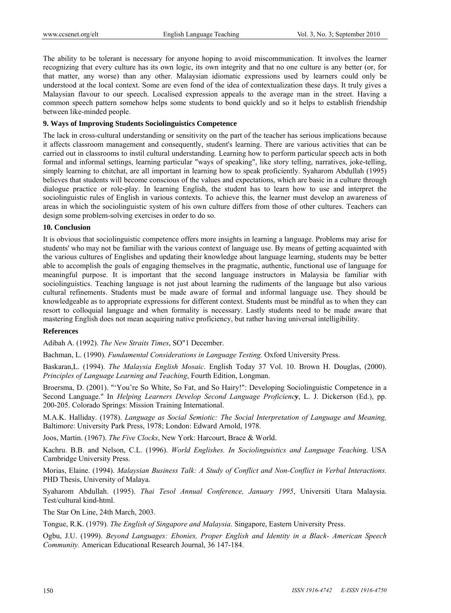The ability to be tolerant is necessary for anyone hoping to avoid miscommunication. It involves the learner recognizing that every culture has its own logic, its own integrity and that no one culture is any better (or, for that matter, any worse) than any other. Malaysian idiomatic expressions used by learners could only be understood at the local context. Some are even fond of the idea of contextualization these days. It truly gives a Malaysian flavour to our speech. Localised expression appeals to the average man in the street. Having a common speech pattern somehow helps some students to bond quickly and so it helps to establish friendship between like-minded people.

## **9. Ways of Improving Students Sociolinguistics Competence**

The lack in cross-cultural understanding or sensitivity on the part of the teacher has serious implications because it affects classroom management and consequently, student's learning. There are various activities that can be carried out in classrooms to instil cultural understanding. Learning how to perform particular speech acts in both formal and informal settings, learning particular "ways of speaking", like story telling, narratives, joke-telling, simply learning to chitchat, are all important in learning how to speak proficiently. Syaharom Abdullah (1995) believes that students will become conscious of the values and expectations, which are basic in a culture through dialogue practice or role-play. In learning English, the student has to learn how to use and interpret the sociolinguistic rules of English in various contexts. To achieve this, the learner must develop an awareness of areas in which the sociolinguistic system of his own culture differs from those of other cultures. Teachers can design some problem-solving exercises in order to do so.

## **10. Conclusion**

It is obvious that sociolinguistic competence offers more insights in learning a language. Problems may arise for students' who may not be familiar with the various context of language use. By means of getting acquainted with the various cultures of Englishes and updating their knowledge about language learning, students may be better able to accomplish the goals of engaging themselves in the pragmatic, authentic, functional use of language for meaningful purpose. It is important that the second language instructors in Malaysia be familiar with sociolinguistics. Teaching language is not just about learning the rudiments of the language but also various cultural refinements. Students must be made aware of formal and informal language use. They should be knowledgeable as to appropriate expressions for different context. Students must be mindful as to when they can resort to colloquial language and when formality is necessary. Lastly students need to be made aware that mastering English does not mean acquiring native proficiency, but rather having universal intelligibility.

## **References**

Adibah A. (1992). *The New Straits Times*, SO"1 December.

Bachman, L. (1990). *Fundamental Considerations in Language Testing.* Oxford University Press.

Baskaran,L. (1994). *The Malaysia English Mosaic*. English Today 37 Vol. 10. Brown H. Douglas, (2000). *Principles of Language Learning and Teaching*, Fourth Edition, Longman.

Broersma, D. (2001). "'You're So White, So Fat, and So Hairy!": Developing Sociolinguistic Competence in a Second Language." In *Helping Learners Develop Second Language Proficiency*, L. J. Dickerson (Ed.), pp. 200-205. Colorado Springs: Mission Training International.

M.A.K. Halliday. (1978). *Language as Social Semiotic: The Social Interpretation of Language and Meaning,*  Baltimore: University Park Press, 1978; London: Edward Arnold, 1978.

Joos, Martin. (1967). *The Five Clocks*, New York: Harcourt, Brace & World.

Kachru. B.B. and Nelson, C.L. (1996). *World Englishes. In Sociolinguistics and Language Teachin*g. USA Cambridge University Press.

Morias, Elaine. (1994). *Malaysian Business Talk: A Study of Conflict and Non-Conflict in Verbal Interactions.* PHD Thesis, University of Malaya.

Syaharom Abdullah. (1995). *Thai Tesol Annual Conference, January 1995*, Universiti Utara Malaysia. Test/cultural kind-html.

The Star On Line, 24th March, 2003.

Tongue, R.K. (1979). *The English of Singapore and Malaysia*. Singapore, Eastern University Press.

Ogbu, J.U. (1999). *Beyond Languages: Ebonies, Proper English and Identity in a Black- American Speech Community.* American Educational Research Journal, 36 147-184.